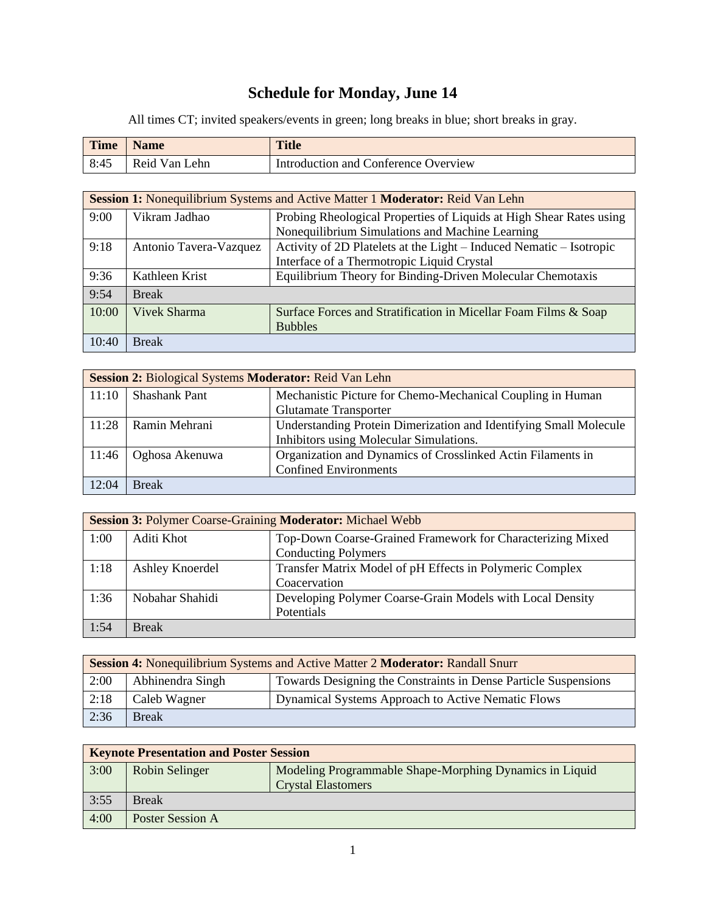# **Schedule for Monday, June 14**

All times CT; invited speakers/events in green; long breaks in blue; short breaks in gray.

| <b>Time</b> | <b>Name</b>   | <b>Title</b>                         |
|-------------|---------------|--------------------------------------|
| 8:45        | Reid Van Lehn | Introduction and Conference Overview |

| <b>Session 1:</b> Nonequilibrium Systems and Active Matter 1 <b>Moderator:</b> Reid Van Lehn |                        |                                                                     |
|----------------------------------------------------------------------------------------------|------------------------|---------------------------------------------------------------------|
| 9:00                                                                                         | Vikram Jadhao          | Probing Rheological Properties of Liquids at High Shear Rates using |
|                                                                                              |                        | Nonequilibrium Simulations and Machine Learning                     |
| 9:18                                                                                         | Antonio Tavera-Vazquez | Activity of 2D Platelets at the Light – Induced Nematic – Isotropic |
|                                                                                              |                        | Interface of a Thermotropic Liquid Crystal                          |
| 9:36                                                                                         | Kathleen Krist         | Equilibrium Theory for Binding-Driven Molecular Chemotaxis          |
| 9:54                                                                                         | <b>Break</b>           |                                                                     |
| 10:00                                                                                        | <b>Vivek Sharma</b>    | Surface Forces and Stratification in Micellar Foam Films & Soap     |
|                                                                                              |                        | <b>Bubbles</b>                                                      |
| 10:40                                                                                        | <b>Break</b>           |                                                                     |

| Session 2: Biological Systems Moderator: Reid Van Lehn |                      |                                                                   |
|--------------------------------------------------------|----------------------|-------------------------------------------------------------------|
| 11:10                                                  | <b>Shashank Pant</b> | Mechanistic Picture for Chemo-Mechanical Coupling in Human        |
|                                                        |                      | <b>Glutamate Transporter</b>                                      |
| 11:28                                                  | Ramin Mehrani        | Understanding Protein Dimerization and Identifying Small Molecule |
|                                                        |                      | Inhibitors using Molecular Simulations.                           |
| 11:46                                                  | Oghosa Akenuwa       | Organization and Dynamics of Crosslinked Actin Filaments in       |
|                                                        |                      | <b>Confined Environments</b>                                      |
| 12:04                                                  | <b>Break</b>         |                                                                   |

|      | <b>Session 3: Polymer Coarse-Graining Moderator: Michael Webb</b> |                                                            |  |
|------|-------------------------------------------------------------------|------------------------------------------------------------|--|
| 1:00 | Aditi Khot                                                        | Top-Down Coarse-Grained Framework for Characterizing Mixed |  |
|      |                                                                   | <b>Conducting Polymers</b>                                 |  |
| 1:18 | Ashley Knoerdel                                                   | Transfer Matrix Model of pH Effects in Polymeric Complex   |  |
|      |                                                                   | Coacervation                                               |  |
| 1:36 | Nobahar Shahidi                                                   | Developing Polymer Coarse-Grain Models with Local Density  |  |
|      |                                                                   | Potentials                                                 |  |
| 1:54 | <b>Break</b>                                                      |                                                            |  |

| Session 4: Nonequilibrium Systems and Active Matter 2 Moderator: Randall Snurr |                  |                                                                 |
|--------------------------------------------------------------------------------|------------------|-----------------------------------------------------------------|
| 2:00                                                                           | Abhinendra Singh | Towards Designing the Constraints in Dense Particle Suspensions |
| 2:18                                                                           | Caleb Wagner     | Dynamical Systems Approach to Active Nematic Flows              |
| 2:36                                                                           | <b>Break</b>     |                                                                 |

| <b>Keynote Presentation and Poster Session</b> |                  |                                                         |
|------------------------------------------------|------------------|---------------------------------------------------------|
| 3:00                                           | Robin Selinger   | Modeling Programmable Shape-Morphing Dynamics in Liquid |
|                                                |                  | <b>Crystal Elastomers</b>                               |
| 3:55                                           | <b>Break</b>     |                                                         |
| 4:00                                           | Poster Session A |                                                         |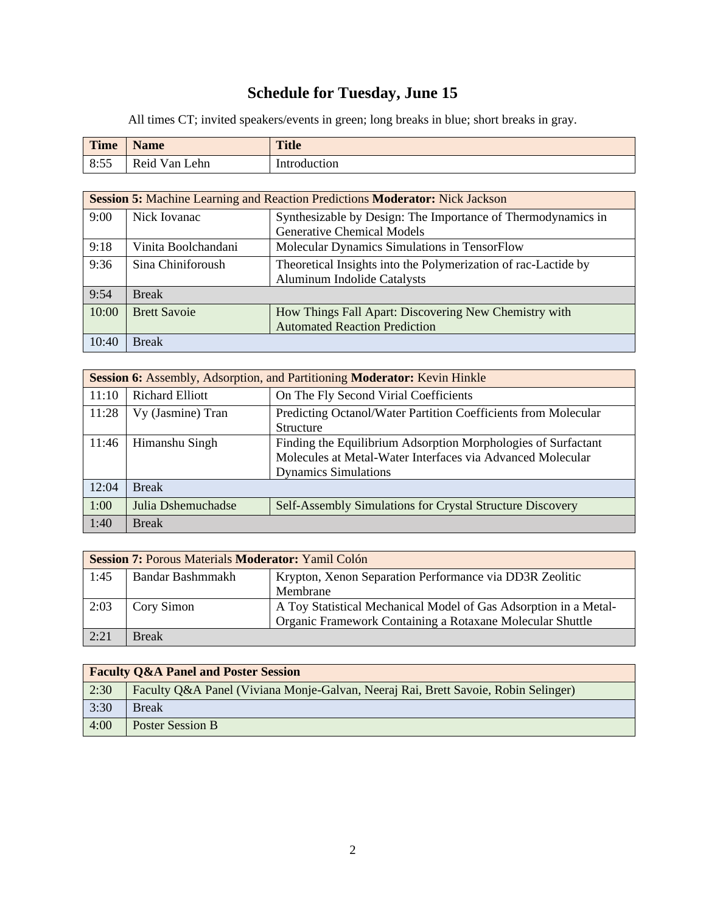# **Schedule for Tuesday, June 15**

All times CT; invited speakers/events in green; long breaks in blue; short breaks in gray.

| <b>Time</b> | <b>Name</b>      | <b>Title</b> |
|-------------|------------------|--------------|
| 8:55        | Reid Van<br>Lehn | Introduction |

| <b>Session 5: Machine Learning and Reaction Predictions Moderator: Nick Jackson</b> |                     |                                                                |
|-------------------------------------------------------------------------------------|---------------------|----------------------------------------------------------------|
| 9:00                                                                                | Nick Iovanac        | Synthesizable by Design: The Importance of Thermodynamics in   |
|                                                                                     |                     | <b>Generative Chemical Models</b>                              |
| 9:18                                                                                | Vinita Boolchandani | Molecular Dynamics Simulations in TensorFlow                   |
| 9:36                                                                                | Sina Chiniforoush   | Theoretical Insights into the Polymerization of rac-Lactide by |
|                                                                                     |                     | <b>Aluminum Indolide Catalysts</b>                             |
| 9:54                                                                                | <b>Break</b>        |                                                                |
| 10:00                                                                               | <b>Brett Savoie</b> | How Things Fall Apart: Discovering New Chemistry with          |
|                                                                                     |                     | <b>Automated Reaction Prediction</b>                           |
| 10:40                                                                               | <b>Break</b>        |                                                                |

| Session 6: Assembly, Adsorption, and Partitioning Moderator: Kevin Hinkle |                        |                                                                |
|---------------------------------------------------------------------------|------------------------|----------------------------------------------------------------|
| 11:10                                                                     | <b>Richard Elliott</b> | On The Fly Second Virial Coefficients                          |
| 11:28                                                                     | Vy (Jasmine) Tran      | Predicting Octanol/Water Partition Coefficients from Molecular |
|                                                                           |                        | <b>Structure</b>                                               |
| 11:46                                                                     | Himanshu Singh         | Finding the Equilibrium Adsorption Morphologies of Surfactant  |
|                                                                           |                        | Molecules at Metal-Water Interfaces via Advanced Molecular     |
|                                                                           |                        | <b>Dynamics Simulations</b>                                    |
| 12:04                                                                     | <b>Break</b>           |                                                                |
| 1:00                                                                      | Julia Dshemuchadse     | Self-Assembly Simulations for Crystal Structure Discovery      |
| 1:40                                                                      | <b>Break</b>           |                                                                |

| <b>Session 7: Porous Materials Moderator: Yamil Colón</b> |                  |                                                                  |
|-----------------------------------------------------------|------------------|------------------------------------------------------------------|
| 1:45                                                      | Bandar Bashmmakh | Krypton, Xenon Separation Performance via DD3R Zeolitic          |
|                                                           |                  | Membrane                                                         |
| 2:03                                                      | Cory Simon       | A Toy Statistical Mechanical Model of Gas Adsorption in a Metal- |
|                                                           |                  | Organic Framework Containing a Rotaxane Molecular Shuttle        |
| 2:21                                                      | <b>Break</b>     |                                                                  |

| <b>Faculty Q&amp;A Panel and Poster Session</b> |                                                                                    |  |
|-------------------------------------------------|------------------------------------------------------------------------------------|--|
| 2:30                                            | Faculty Q&A Panel (Viviana Monje-Galvan, Neeraj Rai, Brett Savoie, Robin Selinger) |  |
| 3:30                                            | <b>Break</b>                                                                       |  |
| 4:00                                            | Poster Session B                                                                   |  |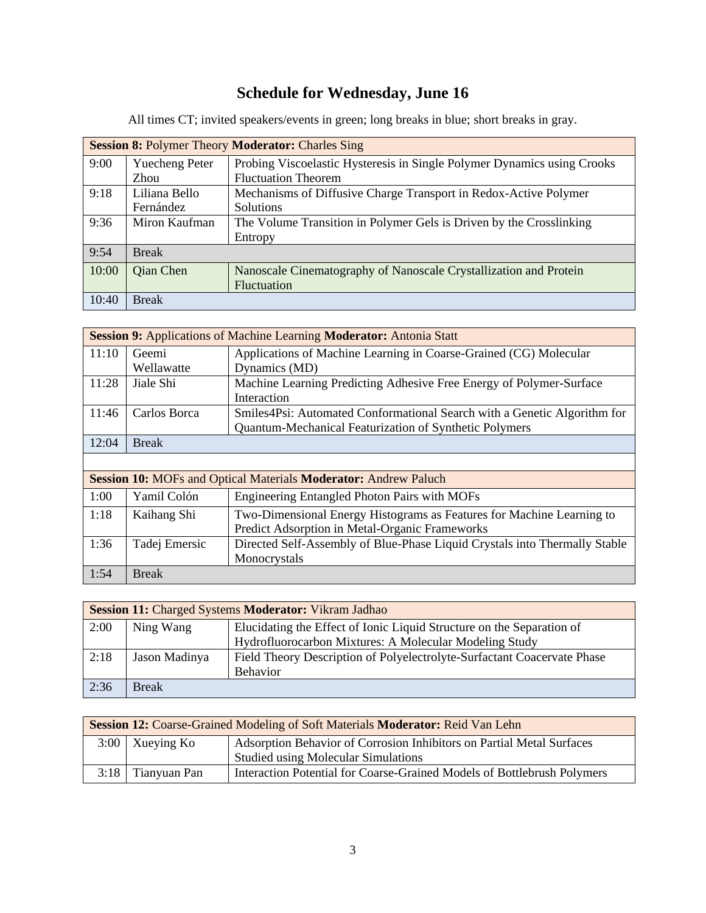# **Schedule for Wednesday, June 16**

|       | <b>Session 8: Polymer Theory Moderator: Charles Sing</b> |                                                                         |  |
|-------|----------------------------------------------------------|-------------------------------------------------------------------------|--|
| 9:00  | <b>Yuecheng Peter</b>                                    | Probing Viscoelastic Hysteresis in Single Polymer Dynamics using Crooks |  |
|       | Zhou                                                     | <b>Fluctuation Theorem</b>                                              |  |
| 9:18  | Liliana Bello                                            | Mechanisms of Diffusive Charge Transport in Redox-Active Polymer        |  |
|       | Fernández                                                | <b>Solutions</b>                                                        |  |
| 9:36  | Miron Kaufman                                            | The Volume Transition in Polymer Gels is Driven by the Crosslinking     |  |
|       |                                                          | Entropy                                                                 |  |
| 9:54  | <b>Break</b>                                             |                                                                         |  |
| 10:00 | Qian Chen                                                | Nanoscale Cinematography of Nanoscale Crystallization and Protein       |  |
|       |                                                          | <b>Fluctuation</b>                                                      |  |
| 10:40 | <b>Break</b>                                             |                                                                         |  |

All times CT; invited speakers/events in green; long breaks in blue; short breaks in gray.

| <b>Session 9: Applications of Machine Learning Moderator: Antonia Statt</b> |               |                                                                            |  |  |
|-----------------------------------------------------------------------------|---------------|----------------------------------------------------------------------------|--|--|
| 11:10                                                                       | Geemi         | Applications of Machine Learning in Coarse-Grained (CG) Molecular          |  |  |
|                                                                             | Wellawatte    | Dynamics (MD)                                                              |  |  |
| 11:28                                                                       | Jiale Shi     | Machine Learning Predicting Adhesive Free Energy of Polymer-Surface        |  |  |
|                                                                             |               | Interaction                                                                |  |  |
| 11:46                                                                       | Carlos Borca  | Smiles4Psi: Automated Conformational Search with a Genetic Algorithm for   |  |  |
|                                                                             |               | <b>Quantum-Mechanical Featurization of Synthetic Polymers</b>              |  |  |
| 12:04                                                                       | <b>Break</b>  |                                                                            |  |  |
|                                                                             |               |                                                                            |  |  |
| <b>Session 10: MOFs and Optical Materials Moderator: Andrew Paluch</b>      |               |                                                                            |  |  |
| 1:00                                                                        | Yamil Colón   | <b>Engineering Entangled Photon Pairs with MOFs</b>                        |  |  |
| 1:18                                                                        | Kaihang Shi   | Two-Dimensional Energy Histograms as Features for Machine Learning to      |  |  |
|                                                                             |               | Predict Adsorption in Metal-Organic Frameworks                             |  |  |
| 1:36                                                                        | Tadej Emersic | Directed Self-Assembly of Blue-Phase Liquid Crystals into Thermally Stable |  |  |
|                                                                             |               | Monocrystals                                                               |  |  |
| 1:54                                                                        | <b>Break</b>  |                                                                            |  |  |

| Session 11: Charged Systems Moderator: Vikram Jadhao |               |                                                                         |  |  |
|------------------------------------------------------|---------------|-------------------------------------------------------------------------|--|--|
| 2:00                                                 | Ning Wang     | Elucidating the Effect of Ionic Liquid Structure on the Separation of   |  |  |
|                                                      |               | Hydrofluorocarbon Mixtures: A Molecular Modeling Study                  |  |  |
| 2:18                                                 | Jason Madinya | Field Theory Description of Polyelectrolyte-Surfactant Coacervate Phase |  |  |
|                                                      |               | <b>Behavior</b>                                                         |  |  |
| 2:36                                                 | <b>Break</b>  |                                                                         |  |  |

| Session 12: Coarse-Grained Modeling of Soft Materials Moderator: Reid Van Lehn |                     |                                                                         |  |  |
|--------------------------------------------------------------------------------|---------------------|-------------------------------------------------------------------------|--|--|
|                                                                                | $3:00$   Xueying Ko | Adsorption Behavior of Corrosion Inhibitors on Partial Metal Surfaces   |  |  |
|                                                                                |                     | <b>Studied using Molecular Simulations</b>                              |  |  |
|                                                                                | $3:18$ Tianyuan Pan | Interaction Potential for Coarse-Grained Models of Bottlebrush Polymers |  |  |